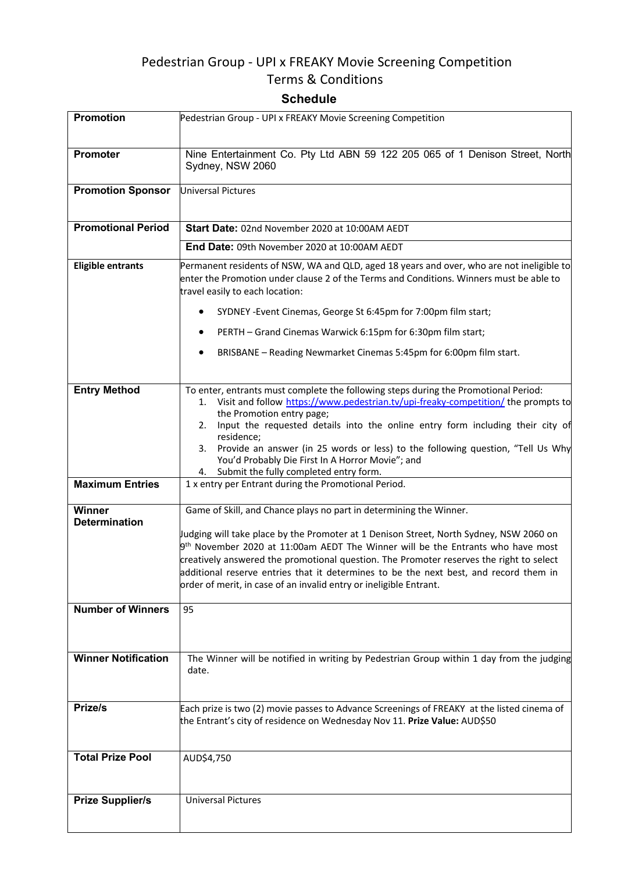# Pedestrian Group - UPI x FREAKY Movie Screening Competition

# Terms & Conditions

# **Schedule**

| Promotion                      | Pedestrian Group - UPI x FREAKY Movie Screening Competition                                                                                                                                                                                                                                                                                                                                                                                                                                                 |
|--------------------------------|-------------------------------------------------------------------------------------------------------------------------------------------------------------------------------------------------------------------------------------------------------------------------------------------------------------------------------------------------------------------------------------------------------------------------------------------------------------------------------------------------------------|
| <b>Promoter</b>                | Nine Entertainment Co. Pty Ltd ABN 59 122 205 065 of 1 Denison Street, North<br>Sydney, NSW 2060                                                                                                                                                                                                                                                                                                                                                                                                            |
| <b>Promotion Sponsor</b>       | Universal Pictures                                                                                                                                                                                                                                                                                                                                                                                                                                                                                          |
| <b>Promotional Period</b>      | Start Date: 02nd November 2020 at 10:00AM AEDT                                                                                                                                                                                                                                                                                                                                                                                                                                                              |
|                                | End Date: 09th November 2020 at 10:00AM AEDT                                                                                                                                                                                                                                                                                                                                                                                                                                                                |
| <b>Eligible entrants</b>       | Permanent residents of NSW, WA and QLD, aged 18 years and over, who are not ineligible to<br>enter the Promotion under clause 2 of the Terms and Conditions. Winners must be able to<br>travel easily to each location:                                                                                                                                                                                                                                                                                     |
|                                | SYDNEY - Event Cinemas, George St 6:45pm for 7:00pm film start;                                                                                                                                                                                                                                                                                                                                                                                                                                             |
|                                | PERTH - Grand Cinemas Warwick 6:15pm for 6:30pm film start;                                                                                                                                                                                                                                                                                                                                                                                                                                                 |
|                                | BRISBANE - Reading Newmarket Cinemas 5:45pm for 6:00pm film start.                                                                                                                                                                                                                                                                                                                                                                                                                                          |
| <b>Entry Method</b>            | To enter, entrants must complete the following steps during the Promotional Period:<br>1. Visit and follow https://www.pedestrian.tv/upi-freaky-competition/ the prompts to<br>the Promotion entry page;<br>Input the requested details into the online entry form including their city of<br>2.<br>residence;<br>Provide an answer (in 25 words or less) to the following question, "Tell Us Why<br>3.<br>You'd Probably Die First In A Horror Movie"; and<br>Submit the fully completed entry form.<br>4. |
| <b>Maximum Entries</b>         | 1 x entry per Entrant during the Promotional Period.                                                                                                                                                                                                                                                                                                                                                                                                                                                        |
| Winner<br><b>Determination</b> | Game of Skill, and Chance plays no part in determining the Winner.<br>Judging will take place by the Promoter at 1 Denison Street, North Sydney, NSW 2060 on<br>$9th$ November 2020 at 11:00am AEDT The Winner will be the Entrants who have most<br>creatively answered the promotional question. The Promoter reserves the right to select<br>additional reserve entries that it determines to be the next best, and record them in<br>order of merit, in case of an invalid entry or ineligible Entrant. |
| <b>Number of Winners</b>       | 95                                                                                                                                                                                                                                                                                                                                                                                                                                                                                                          |
| <b>Winner Notification</b>     | The Winner will be notified in writing by Pedestrian Group within 1 day from the judging<br>date.                                                                                                                                                                                                                                                                                                                                                                                                           |
| Prize/s                        | Each prize is two (2) movie passes to Advance Screenings of FREAKY at the listed cinema of<br>the Entrant's city of residence on Wednesday Nov 11. Prize Value: AUD\$50                                                                                                                                                                                                                                                                                                                                     |
| <b>Total Prize Pool</b>        | AUD\$4,750                                                                                                                                                                                                                                                                                                                                                                                                                                                                                                  |
| <b>Prize Supplier/s</b>        | <b>Universal Pictures</b>                                                                                                                                                                                                                                                                                                                                                                                                                                                                                   |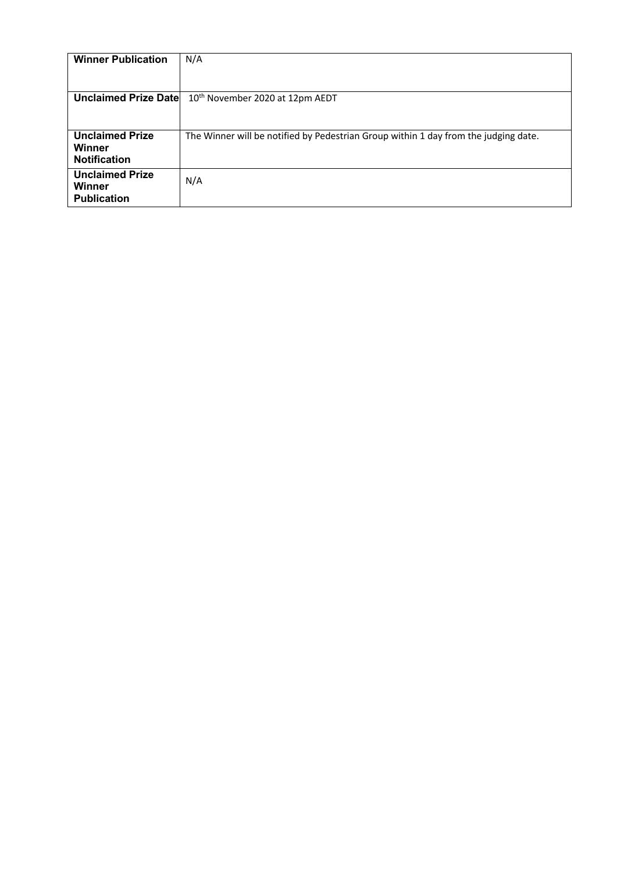| <b>Winner Publication</b>        | N/A                                                                                 |
|----------------------------------|-------------------------------------------------------------------------------------|
|                                  |                                                                                     |
| <b>Unclaimed Prize Datel</b>     | 10 <sup>th</sup> November 2020 at 12pm AEDT                                         |
|                                  |                                                                                     |
| <b>Unclaimed Prize</b><br>Winner | The Winner will be notified by Pedestrian Group within 1 day from the judging date. |
| <b>Notification</b>              |                                                                                     |
| <b>Unclaimed Prize</b><br>Winner | N/A                                                                                 |
| <b>Publication</b>               |                                                                                     |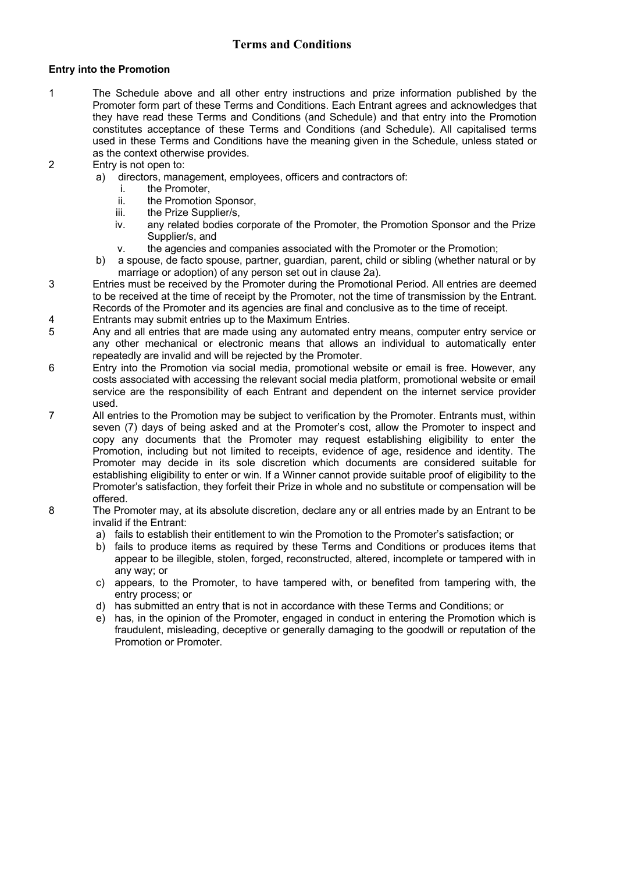## **Terms and Conditions**

## **Entry into the Promotion**

- 1 The Schedule above and all other entry instructions and prize information published by the Promoter form part of these Terms and Conditions. Each Entrant agrees and acknowledges that they have read these Terms and Conditions (and Schedule) and that entry into the Promotion constitutes acceptance of these Terms and Conditions (and Schedule). All capitalised terms used in these Terms and Conditions have the meaning given in the Schedule, unless stated or as the context otherwise provides.
- 2 Entry is not open to:
	- a) directors, management, employees, officers and contractors of:
		- i. the Promoter,
		- ii. the Promotion Sponsor,
		- iii. the Prize Supplier/s,
		- iv. any related bodies corporate of the Promoter, the Promotion Sponsor and the Prize Supplier/s, and
		- v. the agencies and companies associated with the Promoter or the Promotion;
	- b) a spouse, de facto spouse, partner, guardian, parent, child or sibling (whether natural or by marriage or adoption) of any person set out in clause 2a).
- 3 Entries must be received by the Promoter during the Promotional Period. All entries are deemed to be received at the time of receipt by the Promoter, not the time of transmission by the Entrant. Records of the Promoter and its agencies are final and conclusive as to the time of receipt.
- 4 Entrants may submit entries up to the Maximum Entries.
- 5 Any and all entries that are made using any automated entry means, computer entry service or any other mechanical or electronic means that allows an individual to automatically enter repeatedly are invalid and will be rejected by the Promoter.
- 6 Entry into the Promotion via social media, promotional website or email is free. However, any costs associated with accessing the relevant social media platform, promotional website or email service are the responsibility of each Entrant and dependent on the internet service provider used.
- 7 All entries to the Promotion may be subject to verification by the Promoter. Entrants must, within seven (7) days of being asked and at the Promoter's cost, allow the Promoter to inspect and copy any documents that the Promoter may request establishing eligibility to enter the Promotion, including but not limited to receipts, evidence of age, residence and identity. The Promoter may decide in its sole discretion which documents are considered suitable for establishing eligibility to enter or win. If a Winner cannot provide suitable proof of eligibility to the Promoter's satisfaction, they forfeit their Prize in whole and no substitute or compensation will be offered.
- 8 The Promoter may, at its absolute discretion, declare any or all entries made by an Entrant to be invalid if the Entrant:
	- a) fails to establish their entitlement to win the Promotion to the Promoter's satisfaction; or
	- b) fails to produce items as required by these Terms and Conditions or produces items that appear to be illegible, stolen, forged, reconstructed, altered, incomplete or tampered with in any way; or
	- c) appears, to the Promoter, to have tampered with, or benefited from tampering with, the entry process; or
	- d) has submitted an entry that is not in accordance with these Terms and Conditions; or
	- e) has, in the opinion of the Promoter, engaged in conduct in entering the Promotion which is fraudulent, misleading, deceptive or generally damaging to the goodwill or reputation of the Promotion or Promoter.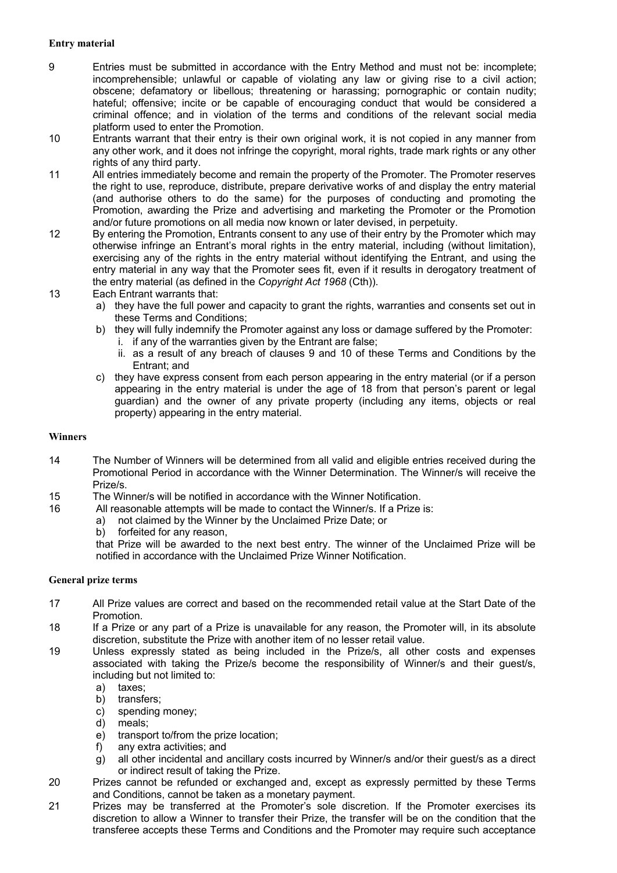### **Entry material**

- 9 Entries must be submitted in accordance with the Entry Method and must not be: incomplete; incomprehensible; unlawful or capable of violating any law or giving rise to a civil action; obscene; defamatory or libellous; threatening or harassing; pornographic or contain nudity; hateful; offensive; incite or be capable of encouraging conduct that would be considered a criminal offence; and in violation of the terms and conditions of the relevant social media platform used to enter the Promotion.
- 10 Entrants warrant that their entry is their own original work, it is not copied in any manner from any other work, and it does not infringe the copyright, moral rights, trade mark rights or any other rights of any third party.
- 11 All entries immediately become and remain the property of the Promoter. The Promoter reserves the right to use, reproduce, distribute, prepare derivative works of and display the entry material (and authorise others to do the same) for the purposes of conducting and promoting the Promotion, awarding the Prize and advertising and marketing the Promoter or the Promotion and/or future promotions on all media now known or later devised, in perpetuity.
- 12 By entering the Promotion, Entrants consent to any use of their entry by the Promoter which may otherwise infringe an Entrant's moral rights in the entry material, including (without limitation), exercising any of the rights in the entry material without identifying the Entrant, and using the entry material in any way that the Promoter sees fit, even if it results in derogatory treatment of the entry material (as defined in the *Copyright Act 1968* (Cth)).
- 13 Each Entrant warrants that:
	- a) they have the full power and capacity to grant the rights, warranties and consents set out in these Terms and Conditions;
	- b) they will fully indemnify the Promoter against any loss or damage suffered by the Promoter: i. if any of the warranties given by the Entrant are false;
		- ii. as a result of any breach of clauses 9 and 10 of these Terms and Conditions by the Entrant; and
	- c) they have express consent from each person appearing in the entry material (or if a person appearing in the entry material is under the age of 18 from that person's parent or legal guardian) and the owner of any private property (including any items, objects or real property) appearing in the entry material.

### **Winners**

- 14 The Number of Winners will be determined from all valid and eligible entries received during the Promotional Period in accordance with the Winner Determination. The Winner/s will receive the Prize/s.
- 15 The Winner/s will be notified in accordance with the Winner Notification.
- 16 All reasonable attempts will be made to contact the Winner/s. If a Prize is:
	- a) not claimed by the Winner by the Unclaimed Prize Date; or
	- b) forfeited for any reason,

that Prize will be awarded to the next best entry. The winner of the Unclaimed Prize will be notified in accordance with the Unclaimed Prize Winner Notification.

### **General prize terms**

- 17 All Prize values are correct and based on the recommended retail value at the Start Date of the Promotion.
- 18 If a Prize or any part of a Prize is unavailable for any reason, the Promoter will, in its absolute discretion, substitute the Prize with another item of no lesser retail value.
- 19 Unless expressly stated as being included in the Prize/s, all other costs and expenses associated with taking the Prize/s become the responsibility of Winner/s and their guest/s, including but not limited to:
	- a) taxes;
	- b) transfers;
	- c) spending money;<br>d) meals;
	- meals:
	- e) transport to/from the prize location;
	- f) any extra activities; and
	- g) all other incidental and ancillary costs incurred by Winner/s and/or their guest/s as a direct or indirect result of taking the Prize.
- 20 Prizes cannot be refunded or exchanged and, except as expressly permitted by these Terms and Conditions, cannot be taken as a monetary payment.
- 21 Prizes may be transferred at the Promoter's sole discretion. If the Promoter exercises its discretion to allow a Winner to transfer their Prize, the transfer will be on the condition that the transferee accepts these Terms and Conditions and the Promoter may require such acceptance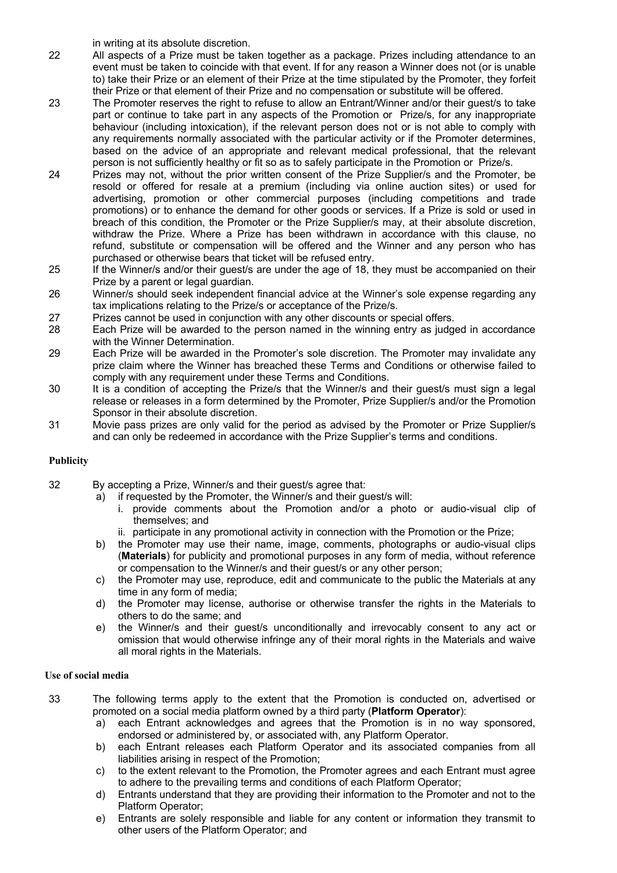in writing at its absolute discretion.

22 All aspects of a Prize must be taken together as a package. Prizes including attendance to an event must be taken to coincide with that event. If for any reason a Winner does not (or is unable to) take their Prize or an element of their Prize at the time stipulated by the Promoter, they forfeit their Prize or that element of their Prize and no compensation or substitute will be offered.

- 23 The Promoter reserves the right to refuse to allow an Entrant/Winner and/or their guest/s to take part or continue to take part in any aspects of the Promotion or Prize/s, for any inappropriate behaviour (including intoxication), if the relevant person does not or is not able to comply with any requirements normally associated with the particular activity or if the Promoter determines, based on the advice of an appropriate and relevant medical professional, that the relevant person is not sufficiently healthy or fit so as to safely participate in the Promotion or Prize/s.
- 24 Prizes may not, without the prior written consent of the Prize Supplier/s and the Promoter, be resold or offered for resale at a premium (including via online auction sites) or used for advertising, promotion or other commercial purposes (including competitions and trade promotions) or to enhance the demand for other goods or services. If a Prize is sold or used in breach of this condition, the Promoter or the Prize Supplier/s may, at their absolute discretion, withdraw the Prize. Where a Prize has been withdrawn in accordance with this clause, no refund, substitute or compensation will be offered and the Winner and any person who has purchased or otherwise bears that ticket will be refused entry.
- 25 If the Winner/s and/or their guest/s are under the age of 18, they must be accompanied on their Prize by a parent or legal guardian.
- 26 Winner/s should seek independent financial advice at the Winner's sole expense regarding any tax implications relating to the Prize/s or acceptance of the Prize/s.
- 27 Prizes cannot be used in conjunction with any other discounts or special offers.
- 28 Each Prize will be awarded to the person named in the winning entry as judged in accordance with the Winner Determination.
- 29 Each Prize will be awarded in the Promoter's sole discretion. The Promoter may invalidate any prize claim where the Winner has breached these Terms and Conditions or otherwise failed to comply with any requirement under these Terms and Conditions.
- 30 It is a condition of accepting the Prize/s that the Winner/s and their guest/s must sign a legal release or releases in a form determined by the Promoter, Prize Supplier/s and/or the Promotion Sponsor in their absolute discretion.
- 31 Movie pass prizes are only valid for the period as advised by the Promoter or Prize Supplier/s and can only be redeemed in accordance with the Prize Supplier's terms and conditions.

### **Publicity**

- 32 By accepting a Prize, Winner/s and their guest/s agree that:
	- a) if requested by the Promoter, the Winner/s and their guest/s will:
		- i. provide comments about the Promotion and/or a photo or audio-visual clip of themselves; and
		- ii. participate in any promotional activity in connection with the Promotion or the Prize;
	- b) the Promoter may use their name, image, comments, photographs or audio-visual clips (**Materials**) for publicity and promotional purposes in any form of media, without reference or compensation to the Winner/s and their guest/s or any other person;
	- c) the Promoter may use, reproduce, edit and communicate to the public the Materials at any time in any form of media;
	- d) the Promoter may license, authorise or otherwise transfer the rights in the Materials to others to do the same; and
	- e) the Winner/s and their guest/s unconditionally and irrevocably consent to any act or omission that would otherwise infringe any of their moral rights in the Materials and waive all moral rights in the Materials.

### **Use of social media**

- 33 The following terms apply to the extent that the Promotion is conducted on, advertised or promoted on a social media platform owned by a third party (**Platform Operator**):
	- a) each Entrant acknowledges and agrees that the Promotion is in no way sponsored, endorsed or administered by, or associated with, any Platform Operator.
	- b) each Entrant releases each Platform Operator and its associated companies from all liabilities arising in respect of the Promotion;
	- c) to the extent relevant to the Promotion, the Promoter agrees and each Entrant must agree to adhere to the prevailing terms and conditions of each Platform Operator;
	- d) Entrants understand that they are providing their information to the Promoter and not to the Platform Operator;
	- e) Entrants are solely responsible and liable for any content or information they transmit to other users of the Platform Operator; and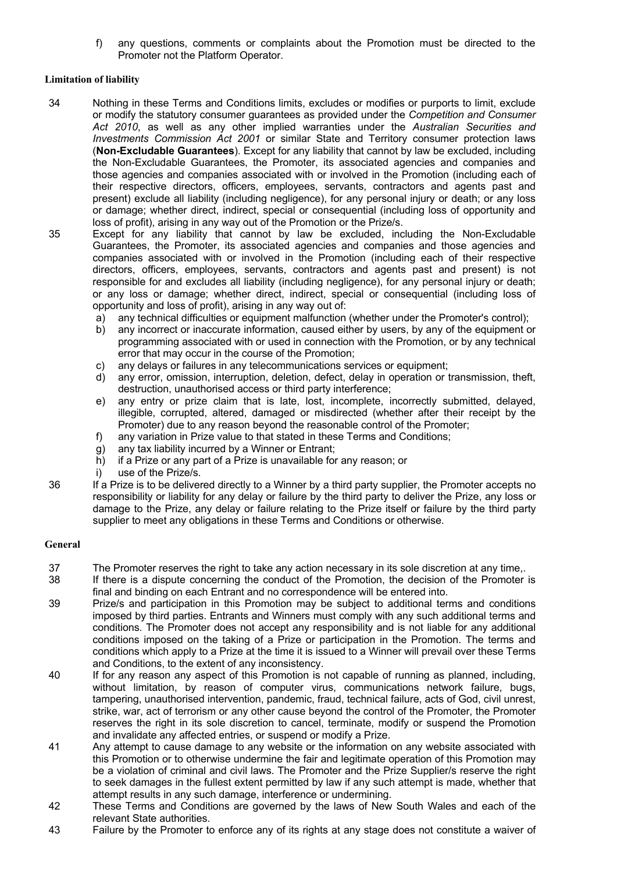f) any questions, comments or complaints about the Promotion must be directed to the Promoter not the Platform Operator.

#### **Limitation of liability**

- 34 Nothing in these Terms and Conditions limits, excludes or modifies or purports to limit, exclude or modify the statutory consumer guarantees as provided under the *Competition and Consumer Act 2010*, as well as any other implied warranties under the *Australian Securities and Investments Commission Act 2001* or similar State and Territory consumer protection laws (**Non-Excludable Guarantees**). Except for any liability that cannot by law be excluded, including the Non-Excludable Guarantees, the Promoter, its associated agencies and companies and those agencies and companies associated with or involved in the Promotion (including each of their respective directors, officers, employees, servants, contractors and agents past and present) exclude all liability (including negligence), for any personal injury or death; or any loss or damage; whether direct, indirect, special or consequential (including loss of opportunity and loss of profit), arising in any way out of the Promotion or the Prize/s.
- 35 Except for any liability that cannot by law be excluded, including the Non-Excludable Guarantees, the Promoter, its associated agencies and companies and those agencies and companies associated with or involved in the Promotion (including each of their respective directors, officers, employees, servants, contractors and agents past and present) is not responsible for and excludes all liability (including negligence), for any personal injury or death; or any loss or damage; whether direct, indirect, special or consequential (including loss of opportunity and loss of profit), arising in any way out of:
	- a) any technical difficulties or equipment malfunction (whether under the Promoter's control);
	- b) any incorrect or inaccurate information, caused either by users, by any of the equipment or programming associated with or used in connection with the Promotion, or by any technical error that may occur in the course of the Promotion;
	- c) any delays or failures in any telecommunications services or equipment;
	- d) any error, omission, interruption, deletion, defect, delay in operation or transmission, theft, destruction, unauthorised access or third party interference;
	- e) any entry or prize claim that is late, lost, incomplete, incorrectly submitted, delayed, illegible, corrupted, altered, damaged or misdirected (whether after their receipt by the Promoter) due to any reason beyond the reasonable control of the Promoter;
	- f) any variation in Prize value to that stated in these Terms and Conditions;
	- g) any tax liability incurred by a Winner or Entrant;
	- h) if a Prize or any part of a Prize is unavailable for any reason; or
	- i) use of the Prize/s.
- 36 If a Prize is to be delivered directly to a Winner by a third party supplier, the Promoter accepts no responsibility or liability for any delay or failure by the third party to deliver the Prize, any loss or damage to the Prize, any delay or failure relating to the Prize itself or failure by the third party supplier to meet any obligations in these Terms and Conditions or otherwise.

#### **General**

- 37 The Promoter reserves the right to take any action necessary in its sole discretion at any time,.
- 38 If there is a dispute concerning the conduct of the Promotion, the decision of the Promoter is final and binding on each Entrant and no correspondence will be entered into.
- 39 Prize/s and participation in this Promotion may be subject to additional terms and conditions imposed by third parties. Entrants and Winners must comply with any such additional terms and conditions. The Promoter does not accept any responsibility and is not liable for any additional conditions imposed on the taking of a Prize or participation in the Promotion. The terms and conditions which apply to a Prize at the time it is issued to a Winner will prevail over these Terms and Conditions, to the extent of any inconsistency.
- 40 If for any reason any aspect of this Promotion is not capable of running as planned, including, without limitation, by reason of computer virus, communications network failure, bugs, tampering, unauthorised intervention, pandemic, fraud, technical failure, acts of God, civil unrest, strike, war, act of terrorism or any other cause beyond the control of the Promoter, the Promoter reserves the right in its sole discretion to cancel, terminate, modify or suspend the Promotion and invalidate any affected entries, or suspend or modify a Prize.
- 41 Any attempt to cause damage to any website or the information on any website associated with this Promotion or to otherwise undermine the fair and legitimate operation of this Promotion may be a violation of criminal and civil laws. The Promoter and the Prize Supplier/s reserve the right to seek damages in the fullest extent permitted by law if any such attempt is made, whether that attempt results in any such damage, interference or undermining.
- 42 These Terms and Conditions are governed by the laws of New South Wales and each of the relevant State authorities.
- 43 Failure by the Promoter to enforce any of its rights at any stage does not constitute a waiver of